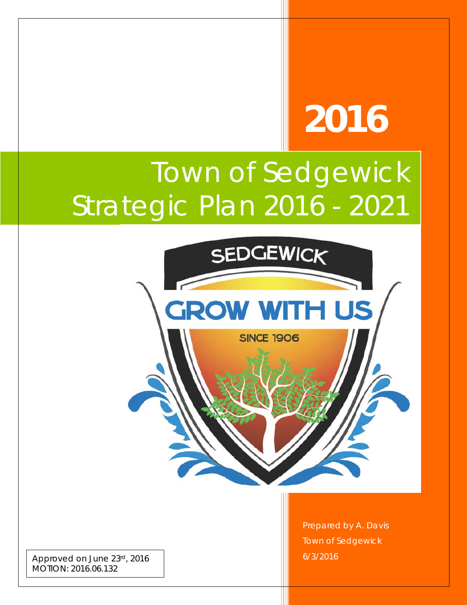# **2016**

# Town of Sedgewick Strategic Plan 2016 - 2021



Approved on June 23rd, 2016 MOTION: 2016.06.132

Prepared by A. Davis Town of Sedgewick 6/3/2016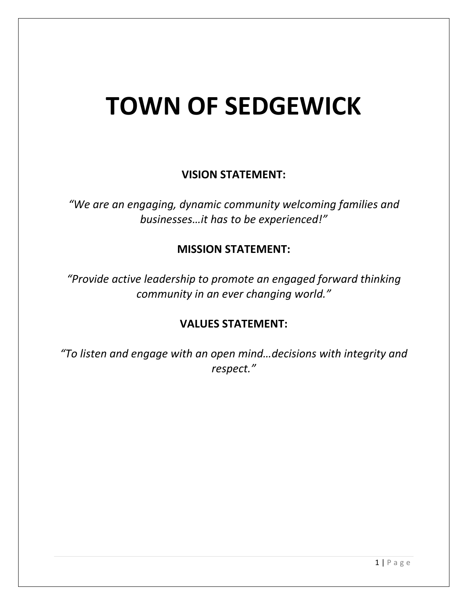# **TOWN OF SEDGEWICK**

## **VISION STATEMENT:**

*"We are an engaging, dynamic community welcoming families and businesses…it has to be experienced!"*

### **MISSION STATEMENT:**

*"Provide active leadership to promote an engaged forward thinking community in an ever changing world."*

### **VALUES STATEMENT:**

*"To listen and engage with an open mind…decisions with integrity and respect."*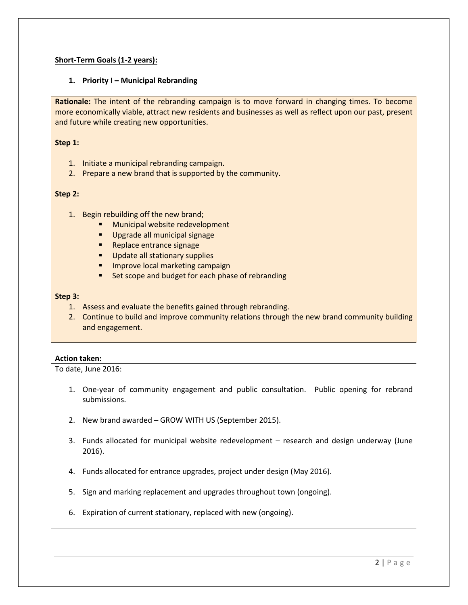#### **Short-Term Goals (1-2 years):**

#### **1. Priority I – Municipal Rebranding**

**Rationale:** The intent of the rebranding campaign is to move forward in changing times. To become more economically viable, attract new residents and businesses as well as reflect upon our past, present and future while creating new opportunities.

#### **Step 1:**

- 1. Initiate a municipal rebranding campaign.
- 2. Prepare a new brand that is supported by the community.

#### **Step 2:**

- 1. Begin rebuilding off the new brand;
	- **Municipal website redevelopment**
	- **Upgrade all municipal signage**
	- **Replace entrance signage**
	- **Update all stationary supplies**
	- **Improve local marketing campaign**
	- **EXECC** Set scope and budget for each phase of rebranding

#### **Step 3:**

- 1. Assess and evaluate the benefits gained through rebranding.
- 2. Continue to build and improve community relations through the new brand community building and engagement.

#### **Action taken:**

- 1. One-year of community engagement and public consultation. Public opening for rebrand submissions.
- 2. New brand awarded GROW WITH US (September 2015).
- 3. Funds allocated for municipal website redevelopment research and design underway (June 2016).
- 4. Funds allocated for entrance upgrades, project under design (May 2016).
- 5. Sign and marking replacement and upgrades throughout town (ongoing).
- 6. Expiration of current stationary, replaced with new (ongoing).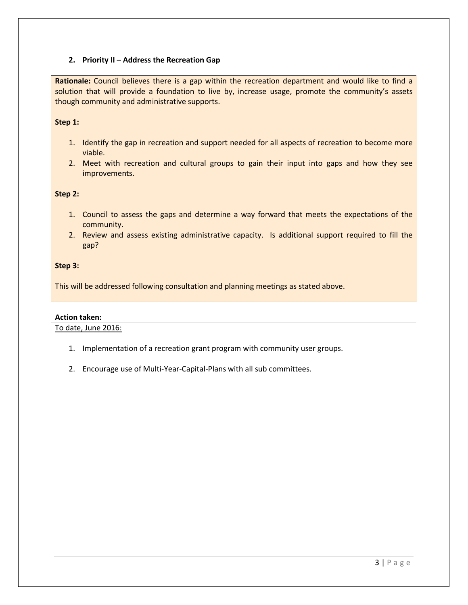#### **2. Priority II – Address the Recreation Gap**

**Rationale:** Council believes there is a gap within the recreation department and would like to find a solution that will provide a foundation to live by, increase usage, promote the community's assets though community and administrative supports.

#### **Step 1:**

- 1. Identify the gap in recreation and support needed for all aspects of recreation to become more viable.
- 2. Meet with recreation and cultural groups to gain their input into gaps and how they see improvements.

#### **Step 2:**

- 1. Council to assess the gaps and determine a way forward that meets the expectations of the community.
- 2. Review and assess existing administrative capacity. Is additional support required to fill the gap?

#### **Step 3:**

This will be addressed following consultation and planning meetings as stated above.

#### **Action taken:**

- 1. Implementation of a recreation grant program with community user groups.
- 2. Encourage use of Multi-Year-Capital-Plans with all sub committees.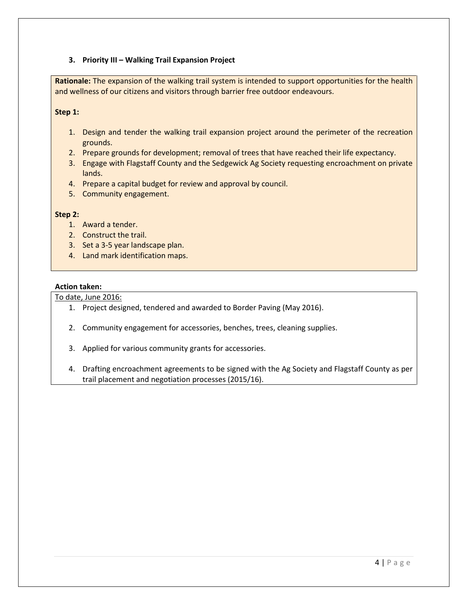#### **3. Priority III – Walking Trail Expansion Project**

**Rationale:** The expansion of the walking trail system is intended to support opportunities for the health and wellness of our citizens and visitors through barrier free outdoor endeavours.

#### **Step 1:**

- 1. Design and tender the walking trail expansion project around the perimeter of the recreation grounds.
- 2. Prepare grounds for development; removal of trees that have reached their life expectancy.
- 3. Engage with Flagstaff County and the Sedgewick Ag Society requesting encroachment on private lands.
- 4. Prepare a capital budget for review and approval by council.
- 5. Community engagement.

#### **Step 2:**

- 1. Award a tender.
- 2. Construct the trail.
- 3. Set a 3-5 year landscape plan.
- 4. Land mark identification maps.

#### **Action taken:**

- 1. Project designed, tendered and awarded to Border Paving (May 2016).
- 2. Community engagement for accessories, benches, trees, cleaning supplies.
- 3. Applied for various community grants for accessories.
- 4. Drafting encroachment agreements to be signed with the Ag Society and Flagstaff County as per trail placement and negotiation processes (2015/16).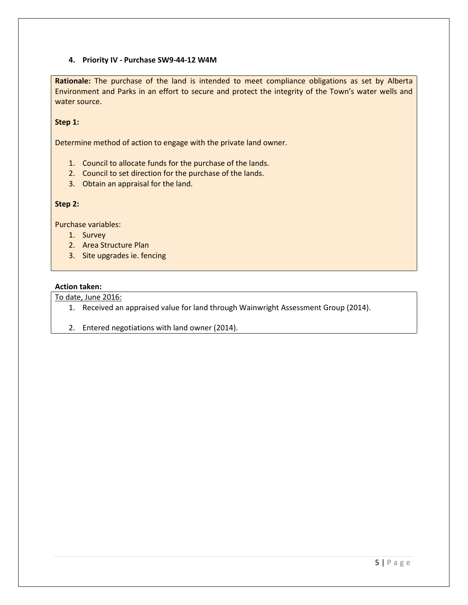#### **4. Priority IV - Purchase SW9-44-12 W4M**

**Rationale:** The purchase of the land is intended to meet compliance obligations as set by Alberta Environment and Parks in an effort to secure and protect the integrity of the Town's water wells and water source.

#### **Step 1:**

Determine method of action to engage with the private land owner.

- 1. Council to allocate funds for the purchase of the lands.
- 2. Council to set direction for the purchase of the lands.
- 3. Obtain an appraisal for the land.

#### **Step 2:**

Purchase variables:

- 1. Survey
- 2. Area Structure Plan
- 3. Site upgrades ie. fencing

#### **Action taken:**

- 1. Received an appraised value for land through Wainwright Assessment Group (2014).
- 2. Entered negotiations with land owner (2014).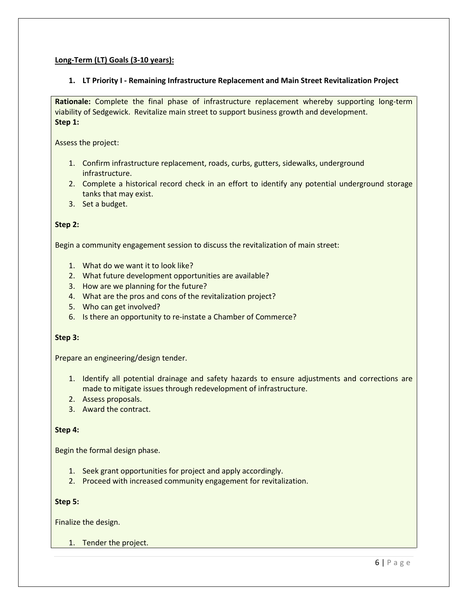#### **Long-Term (LT) Goals (3-10 years):**

#### **1. LT Priority I - Remaining Infrastructure Replacement and Main Street Revitalization Project**

**Rationale:** Complete the final phase of infrastructure replacement whereby supporting long-term viability of Sedgewick. Revitalize main street to support business growth and development. **Step 1:**

Assess the project:

- 1. Confirm infrastructure replacement, roads, curbs, gutters, sidewalks, underground infrastructure.
- 2. Complete a historical record check in an effort to identify any potential underground storage tanks that may exist.
- 3. Set a budget.

#### **Step 2:**

Begin a community engagement session to discuss the revitalization of main street:

- 1. What do we want it to look like?
- 2. What future development opportunities are available?
- 3. How are we planning for the future?
- 4. What are the pros and cons of the revitalization project?
- 5. Who can get involved?
- 6. Is there an opportunity to re-instate a Chamber of Commerce?

#### **Step 3:**

Prepare an engineering/design tender.

- 1. Identify all potential drainage and safety hazards to ensure adjustments and corrections are made to mitigate issues through redevelopment of infrastructure.
- 2. Assess proposals.
- 3. Award the contract.

#### **Step 4:**

Begin the formal design phase.

- 1. Seek grant opportunities for project and apply accordingly.
- 2. Proceed with increased community engagement for revitalization.

#### **Step 5:**

Finalize the design.

1. Tender the project.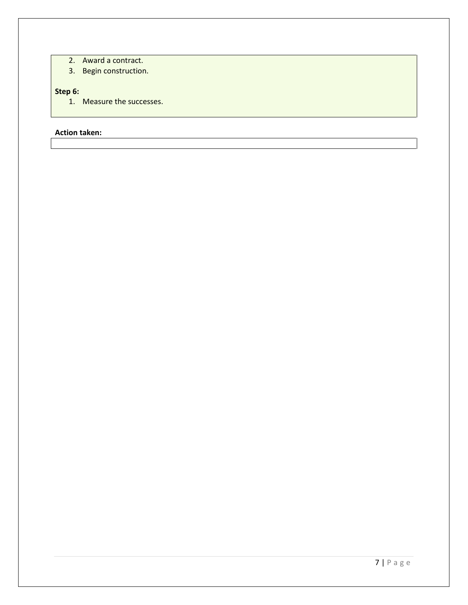- 2. Award a contract.
- 3. Begin construction.

#### **Step 6:**

1. Measure the successes.

#### **Action taken:**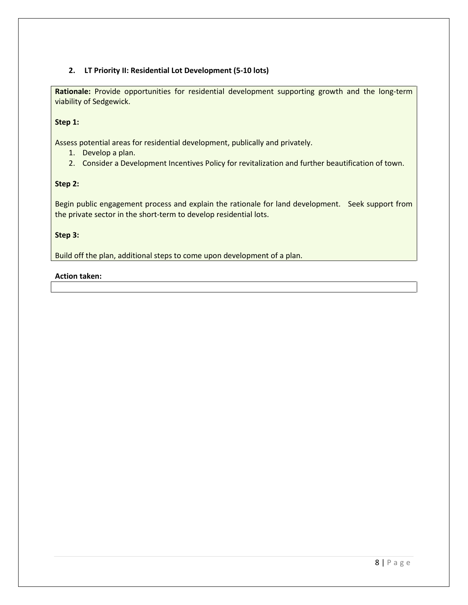#### **2. LT Priority II: Residential Lot Development (5-10 lots)**

**Rationale:** Provide opportunities for residential development supporting growth and the long-term viability of Sedgewick.

#### **Step 1:**

Assess potential areas for residential development, publically and privately.

- 1. Develop a plan.
- 2. Consider a Development Incentives Policy for revitalization and further beautification of town.

#### **Step 2:**

Begin public engagement process and explain the rationale for land development. Seek support from the private sector in the short-term to develop residential lots.

#### **Step 3:**

Build off the plan, additional steps to come upon development of a plan.

#### **Action taken:**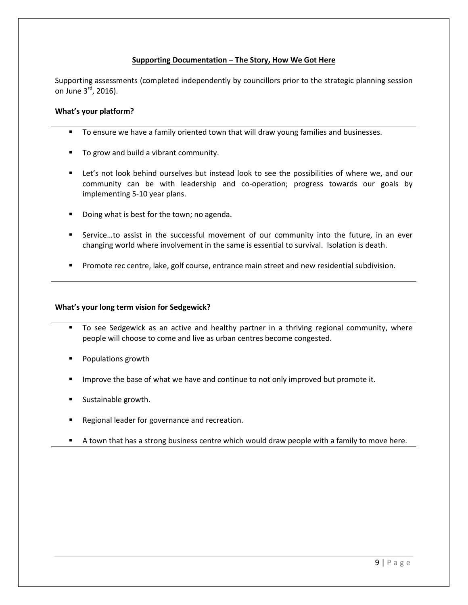#### **Supporting Documentation – The Story, How We Got Here**

Supporting assessments (completed independently by councillors prior to the strategic planning session on June 3<sup>rd</sup>, 2016).

#### **What's your platform?**

- To ensure we have a family oriented town that will draw young families and businesses.
- To grow and build a vibrant community.
- Let's not look behind ourselves but instead look to see the possibilities of where we, and our community can be with leadership and co-operation; progress towards our goals by implementing 5-10 year plans.
- Doing what is best for the town; no agenda.
- Service…to assist in the successful movement of our community into the future, in an ever changing world where involvement in the same is essential to survival. Isolation is death.
- Promote rec centre, lake, golf course, entrance main street and new residential subdivision.

#### **What's your long term vision for Sedgewick?**

- To see Sedgewick as an active and healthy partner in a thriving regional community, where people will choose to come and live as urban centres become congested.
- Populations growth
- **IMPROVE THE BASE OF WHAT WE have and continue to not only improved but promote it.**
- Sustainable growth.
- Regional leader for governance and recreation.
- A town that has a strong business centre which would draw people with a family to move here.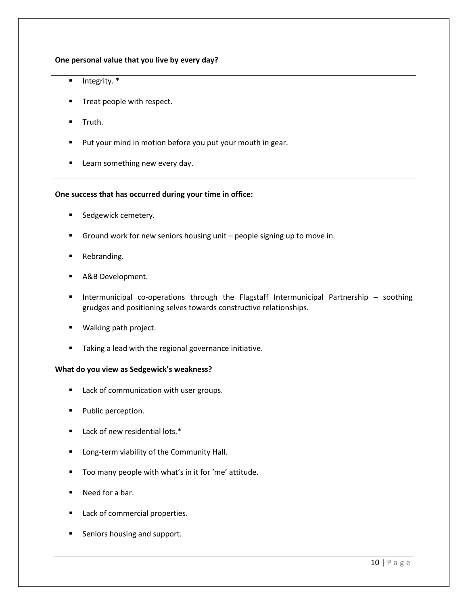#### **One personal value that you live by every day?**

- $\blacksquare$  Integrity.  $*$
- **Treat people with respect.**
- Truth.
- Put your mind in motion before you put your mouth in gear.
- **Learn something new every day.**

#### **One success that has occurred during your time in office:**

- Sedgewick cemetery.
- Ground work for new seniors housing unit people signing up to move in.
- Rebranding.
- A&B Development.
- Intermunicipal co-operations through the Flagstaff Intermunicipal Partnership soothing grudges and positioning selves towards constructive relationships.
- **Walking path project.**
- **Taking a lead with the regional governance initiative.**

#### **What do you view as Sedgewick's weakness?**

- **Lack of communication with user groups.**
- **Public perception.**
- Lack of new residential lots.\*
- Long-term viability of the Community Hall.
- Too many people with what's in it for 'me' attitude.
- Need for a bar.
- Lack of commercial properties.
- **Seniors housing and support.**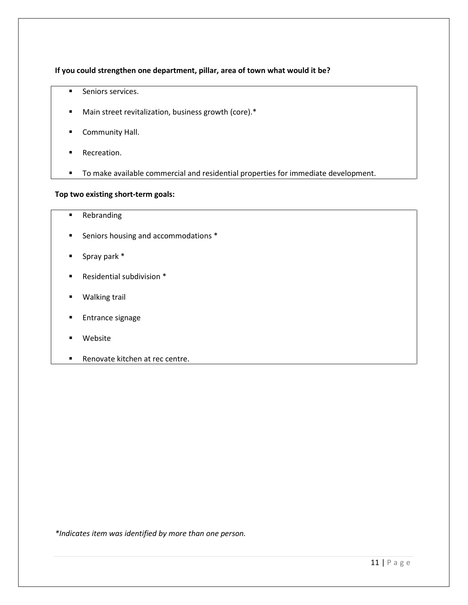#### **If you could strengthen one department, pillar, area of town what would it be?**

- **Seniors services.**
- Main street revitalization, business growth (core).\*
- **Community Hall.**
- **Recreation.**
- To make available commercial and residential properties for immediate development.

#### **Top two existing short-term goals:**

- **Rebranding**
- **Seniors housing and accommodations \***
- Spray park \*
- Residential subdivision \*
- **Walking trail**
- **Entrance signage**
- Website
- **Renovate kitchen at rec centre.**

*\*Indicates item was identified by more than one person.*